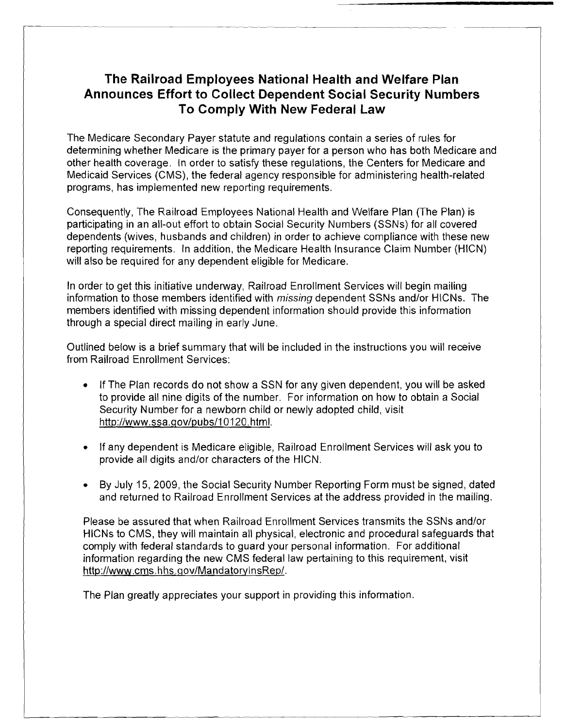## **The Railroad Employees National Health and Welfare Plan Announces Effort to Collect Dependent Social Security Numbers To Comply With New Federal Law**

The Medicare Secondary Payer statute and regulations contain a series of rules for determining whether Medicare is the primary payer for a person who has both Medicare and other health coverage. In order to satisfy these regulations, the Centers for Medicare and Medicaid Services (CMS), the federal agency responsible for administering health-related programs, has implemented new reporting requirements.

Consequently, The Railroad Employees National Health and Welfare Plan (The Plan) is participating in an all-out effort to obtain Social Security Numbers (SSNs) for all covered dependents (wives, husbands and children) in order to achieve compliance with these new reporting requirements. In addition, the Medicare Health Insurance Claim Number (HICN) will also be required for any dependent eligible for Medicare.

In order to get this initiative underway, Railroad Enrollment Services will begin mailing information to those members identified with *missing* dependent SSNs and/or HICNs. The members identified with missing dependent information should provide this information through a special direct mailing in early June.

Outlined below is a brief summary that will be included in the instructions you will receive from Railroad Enrollment Services:

- If The Plan records do not show a SSN for any given dependent, you will be asked to provide all nine digits of the number. For information on how to obtain a Social Security Number for a newborn child or newly adopted child, visit http://www.ssa.qov/pubs/l0 120.htrnl.
- If any dependent is Medicare eligible, Railroad Enrollment Services will ask you to provide all digits and/or characters of the HICN.
- By July 15, 2009, the Social Security Number Reporting Form must be signed, dated and returned to Railroad Enrollment Services at the address provided in the mailing.

Please be assured that when Railroad Enrollment Services transmits the SSNs and/or HlCNs to CMS, they will maintain all physical, electronic and procedural safeguards that comply with federal standards to guard your personal information. For additional information regarding the new CMS federal law pertaining to this requirement, visit http://www.cms.hhs.gov/MandatorylnsRep/.

The Plan greatly appreciates your support in providing this information.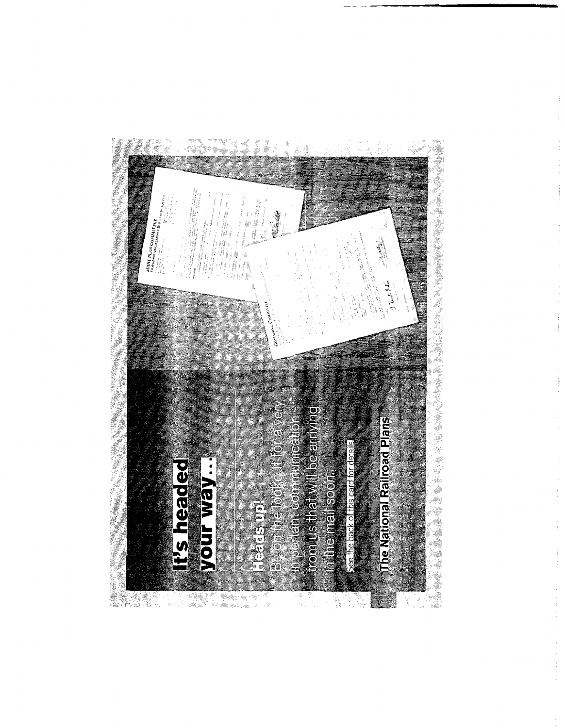